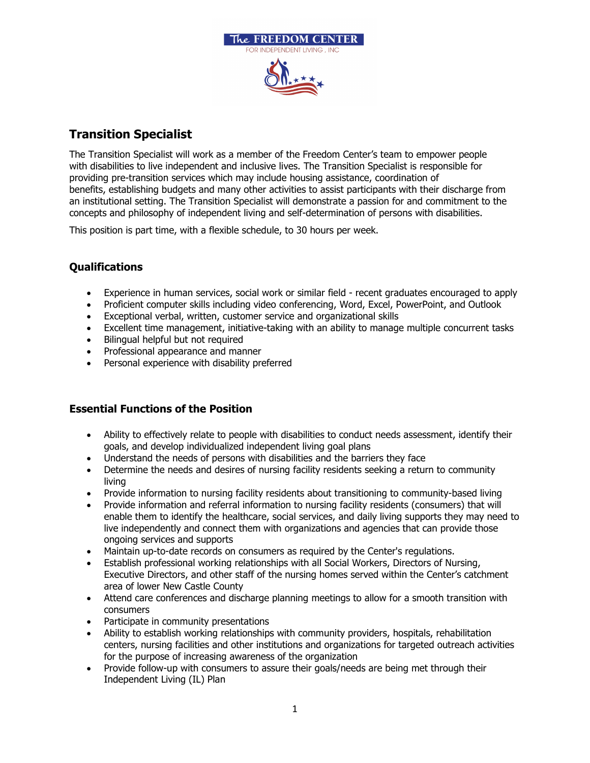

## **Transition Specialist**

The Transition Specialist will work as a member of the Freedom Center's team to empower people with disabilities to live independent and inclusive lives. The Transition Specialist is responsible for providing pre-transition services which may include housing assistance, coordination of benefits, establishing budgets and many other activities to assist participants with their discharge from an institutional setting. The Transition Specialist will demonstrate a passion for and commitment to the concepts and philosophy of independent living and self-determination of persons with disabilities.

This position is part time, with a flexible schedule, to 30 hours per week.

## **Qualifications**

- Experience in human services, social work or similar field recent graduates encouraged to apply
- Proficient computer skills including video conferencing, Word, Excel, PowerPoint, and Outlook
- Exceptional verbal, written, customer service and organizational skills
- Excellent time management, initiative-taking with an ability to manage multiple concurrent tasks
- Bilingual helpful but not required
- Professional appearance and manner
- Personal experience with disability preferred

## **Essential Functions of the Position**

- Ability to effectively relate to people with disabilities to conduct needs assessment, identify their goals, and develop individualized independent living goal plans
- Understand the needs of persons with disabilities and the barriers they face
- Determine the needs and desires of nursing facility residents seeking a return to community living
- Provide information to nursing facility residents about transitioning to community-based living
- Provide information and referral information to nursing facility residents (consumers) that will enable them to identify the healthcare, social services, and daily living supports they may need to live independently and connect them with organizations and agencies that can provide those ongoing services and supports
- Maintain up-to-date records on consumers as required by the Center's regulations.
- Establish professional working relationships with all Social Workers, Directors of Nursing, Executive Directors, and other staff of the nursing homes served within the Center's catchment area of lower New Castle County
- Attend care conferences and discharge planning meetings to allow for a smooth transition with consumers
- Participate in community presentations
- Ability to establish working relationships with community providers, hospitals, rehabilitation centers, nursing facilities and other institutions and organizations for targeted outreach activities for the purpose of increasing awareness of the organization
- Provide follow-up with consumers to assure their goals/needs are being met through their Independent Living (IL) Plan